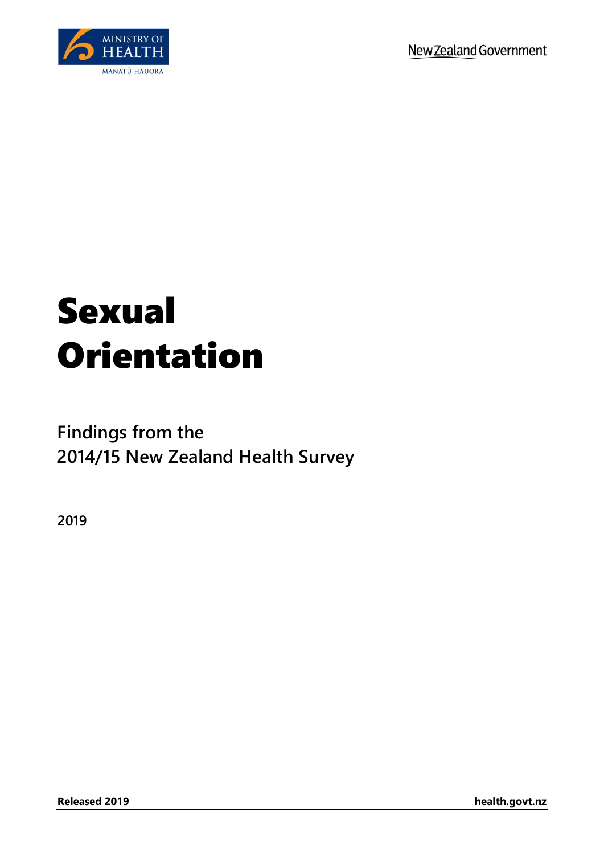

# Sexual Orientation

## **Findings from the 2014/15 New Zealand Health Survey**

**2019**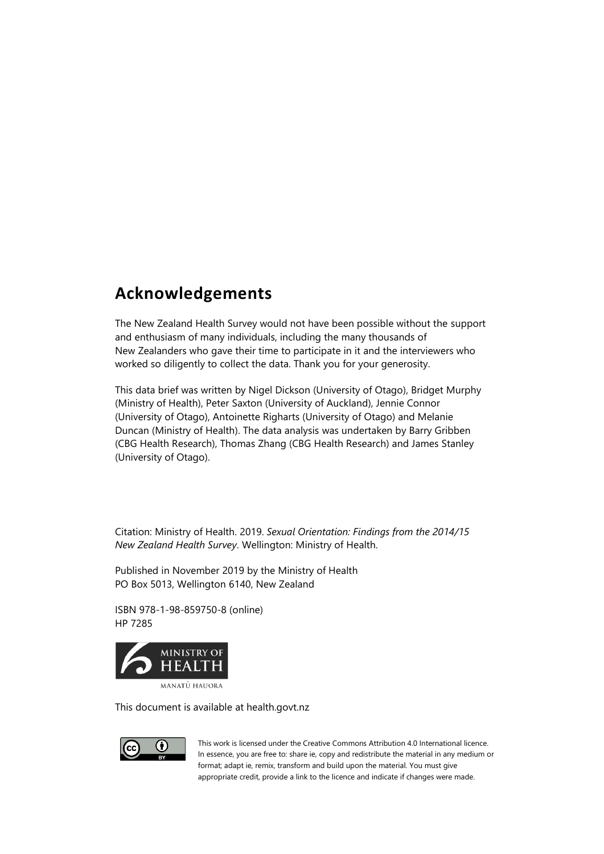### **Acknowledgements**

The New Zealand Health Survey would not have been possible without the support and enthusiasm of many individuals, including the many thousands of New Zealanders who gave their time to participate in it and the interviewers who worked so diligently to collect the data. Thank you for your generosity.

This data brief was written by Nigel Dickson (University of Otago), Bridget Murphy (Ministry of Health), Peter Saxton (University of Auckland), Jennie Connor (University of Otago), Antoinette Righarts (University of Otago) and Melanie Duncan (Ministry of Health). The data analysis was undertaken by Barry Gribben (CBG Health Research), Thomas Zhang (CBG Health Research) and James Stanley (University of Otago).

Citation: Ministry of Health. 2019. *Sexual Orientation: Findings from the 2014/15 New Zealand Health Survey*. Wellington: Ministry of Health.

Published in November 2019 by the Ministry of Health PO Box 5013, Wellington 6140, New Zealand

ISBN 978-1-98-859750-8 (online) HP 7285



This document is available at health.govt.nz



This work is licensed under the Creative Commons Attribution 4.0 International licence. In essence, you are free to: share ie, copy and redistribute the material in any medium or format; adapt ie, remix, transform and build upon the material. You must give appropriate credit, provide a link to the licence and indicate if changes were made.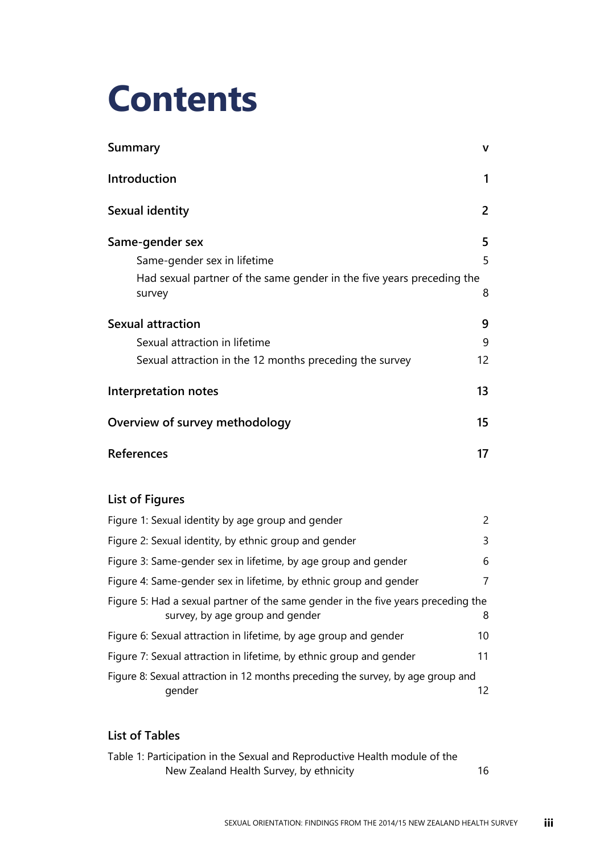# **Contents**

| Summary                                                                                                                           | v              |
|-----------------------------------------------------------------------------------------------------------------------------------|----------------|
| Introduction                                                                                                                      | 1              |
| Sexual identity                                                                                                                   | 2              |
| Same-gender sex<br>Same-gender sex in lifetime<br>Had sexual partner of the same gender in the five years preceding the<br>survey | 5<br>5<br>8    |
| <b>Sexual attraction</b><br>Sexual attraction in lifetime<br>Sexual attraction in the 12 months preceding the survey              | 9<br>9<br>12   |
| <b>Interpretation notes</b>                                                                                                       | 13             |
| Overview of survey methodology                                                                                                    | 15             |
| <b>References</b>                                                                                                                 | 17             |
| <b>List of Figures</b>                                                                                                            |                |
| Figure 1: Sexual identity by age group and gender                                                                                 | $\overline{2}$ |
| Figure 2: Sexual identity, by ethnic group and gender                                                                             | 3              |
| Figure 3: Same-gender sex in lifetime, by age group and gender                                                                    | 6              |
| Figure 4: Same-gender sex in lifetime, by ethnic group and gender                                                                 | $\overline{7}$ |
| Figure 5: Had a sexual partner of the same gender in the five years preceding the<br>survey, by age group and gender              | 8              |
| Figure 6: Sexual attraction in lifetime, by age group and gender                                                                  | 10             |
| Figure 7: Sexual attraction in lifetime, by ethnic group and gender                                                               | 11             |

[Figure 8: Sexual attraction in 12 months preceding the survey, by age group and](#page-17-1)  [gender](#page-17-1) 12

#### **List of Tables**

| Table 1: Participation in the Sexual and Reproductive Health module of the |  |
|----------------------------------------------------------------------------|--|
| New Zealand Health Survey, by ethnicity                                    |  |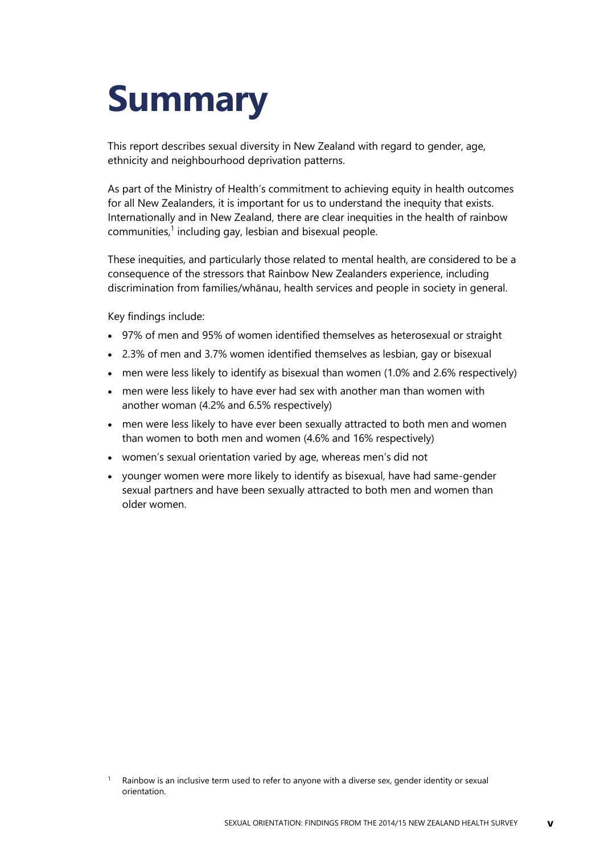# <span id="page-4-0"></span>**Summary**

This report describes sexual diversity in New Zealand with regard to gender, age, ethnicity and neighbourhood deprivation patterns.

As part of the Ministry of Health's commitment to achieving equity in health outcomes for all New Zealanders, it is important for us to understand the inequity that exists. Internationally and in New Zealand, there are clear inequities in the health of rainbow communities,<sup>1</sup> including gay, lesbian and bisexual people.

These inequities, and particularly those related to mental health, are considered to be a consequence of the stressors that Rainbow New Zealanders experience, including discrimination from families/whānau, health services and people in society in general.

Key findings include:

- 97% of men and 95% of women identified themselves as heterosexual or straight
- 2.3% of men and 3.7% women identified themselves as lesbian, gay or bisexual
- men were less likely to identify as bisexual than women (1.0% and 2.6% respectively)
- men were less likely to have ever had sex with another man than women with another woman (4.2% and 6.5% respectively)
- men were less likely to have ever been sexually attracted to both men and women than women to both men and women (4.6% and 16% respectively)
- women's sexual orientation varied by age, whereas men's did not
- younger women were more likely to identify as bisexual, have had same-gender sexual partners and have been sexually attracted to both men and women than older women.

Rainbow is an inclusive term used to refer to anyone with a diverse sex, gender identity or sexual orientation.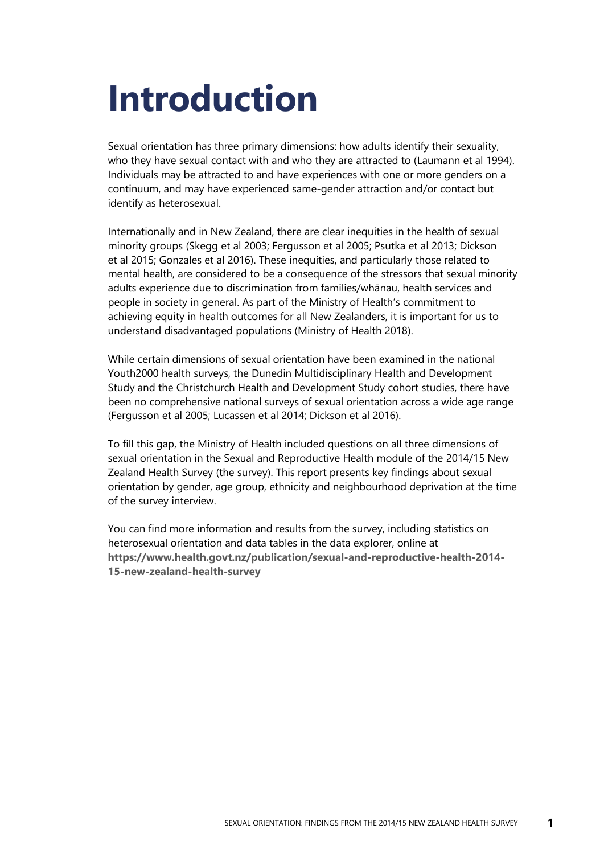# <span id="page-6-0"></span>**Introduction**

Sexual orientation has three primary dimensions: how adults identify their sexuality, who they have sexual contact with and who they are attracted to (Laumann et al 1994). Individuals may be attracted to and have experiences with one or more genders on a continuum, and may have experienced same-gender attraction and/or contact but identify as heterosexual.

Internationally and in New Zealand, there are clear inequities in the health of sexual minority groups (Skegg et al 2003; Fergusson et al 2005; Psutka et al 2013; Dickson et al 2015; Gonzales et al 2016). These inequities, and particularly those related to mental health, are considered to be a consequence of the stressors that sexual minority adults experience due to discrimination from families/whānau, health services and people in society in general. As part of the Ministry of Health's commitment to achieving equity in health outcomes for all New Zealanders, it is important for us to understand disadvantaged populations (Ministry of Health 2018).

While certain dimensions of sexual orientation have been examined in the national Youth2000 health surveys, the Dunedin Multidisciplinary Health and Development Study and the Christchurch Health and Development Study cohort studies, there have been no comprehensive national surveys of sexual orientation across a wide age range (Fergusson et al 2005; Lucassen et al 2014; Dickson et al 2016).

To fill this gap, the Ministry of Health included questions on all three dimensions of sexual orientation in the Sexual and Reproductive Health module of the 2014/15 New Zealand Health Survey (the survey). This report presents key findings about sexual orientation by gender, age group, ethnicity and neighbourhood deprivation at the time of the survey interview.

You can find more information and results from the survey, including statistics on heterosexual orientation and data tables in the data explorer, online at **[https://www.health.govt.nz/publication/sexual-and-reproductive-health-2014-](https://www.health.govt.nz/publication/sexual-and-reproductive-health-2014-15-new-zealand-health-survey) [15-new-zealand-health-survey](https://www.health.govt.nz/publication/sexual-and-reproductive-health-2014-15-new-zealand-health-survey)**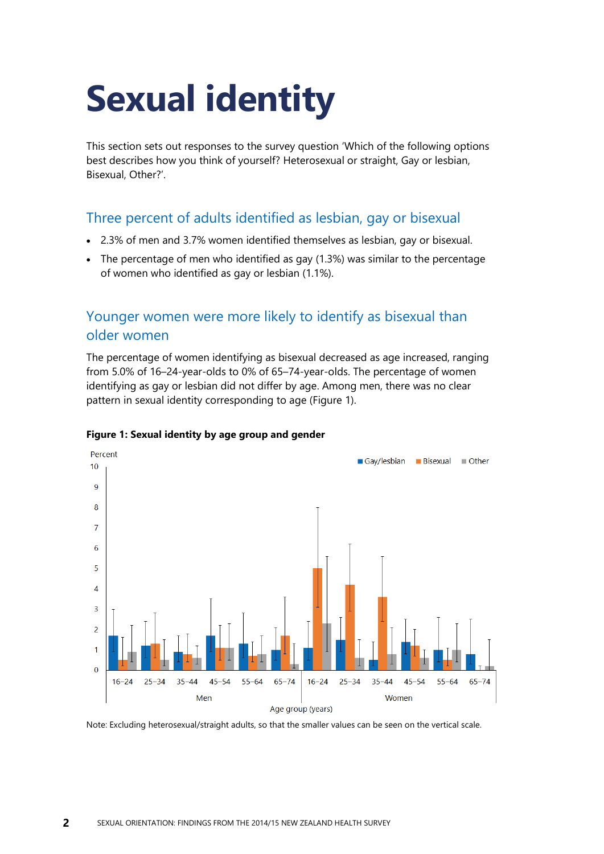# <span id="page-7-0"></span>**Sexual identity**

This section sets out responses to the survey question 'Which of the following options best describes how you think of yourself? Heterosexual or straight, Gay or lesbian, Bisexual, Other?'.

#### Three percent of adults identified as lesbian, gay or bisexual

- 2.3% of men and 3.7% women identified themselves as lesbian, gay or bisexual.
- The percentage of men who identified as gay (1.3%) was similar to the percentage of women who identified as gay or lesbian (1.1%).

#### Younger women were more likely to identify as bisexual than older women

The percentage of women identifying as bisexual decreased as age increased, ranging from 5.0% of 16–24-year-olds to 0% of 65–74-year-olds. The percentage of women identifying as gay or lesbian did not differ by age. Among men, there was no clear pattern in sexual identity corresponding to age (Figure 1).



#### <span id="page-7-1"></span>**Figure 1: Sexual identity by age group and gender**

Note: Excluding heterosexual/straight adults, so that the smaller values can be seen on the vertical scale.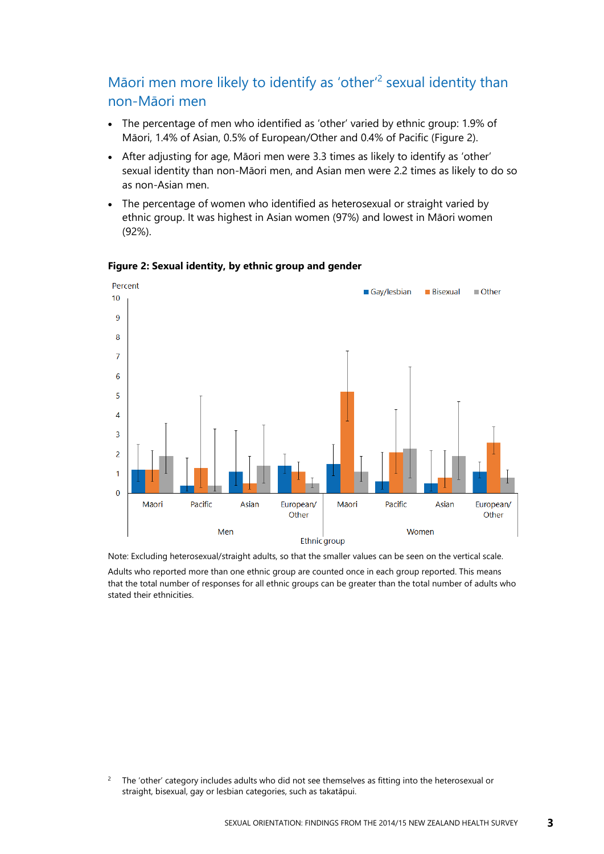#### Māori men more likely to identify as 'other'<sup>2</sup> sexual identity than non-Māori men

- The percentage of men who identified as 'other' varied by ethnic group: 1.9% of Māori, 1.4% of Asian, 0.5% of European/Other and 0.4% of Pacific (Figure 2).
- After adjusting for age, Māori men were 3.3 times as likely to identify as 'other' sexual identity than non-Māori men, and Asian men were 2.2 times as likely to do so as non-Asian men.
- The percentage of women who identified as heterosexual or straight varied by ethnic group. It was highest in Asian women (97%) and lowest in Māori women (92%).



#### <span id="page-8-0"></span>**Figure 2: Sexual identity, by ethnic group and gender**

Note: Excluding heterosexual/straight adults, so that the smaller values can be seen on the vertical scale.

Adults who reported more than one ethnic group are counted once in each group reported. This means that the total number of responses for all ethnic groups can be greater than the total number of adults who stated their ethnicities.

 $2^2$  The 'other' category includes adults who did not see themselves as fitting into the heterosexual or straight, bisexual, gay or lesbian categories, such as takatāpui.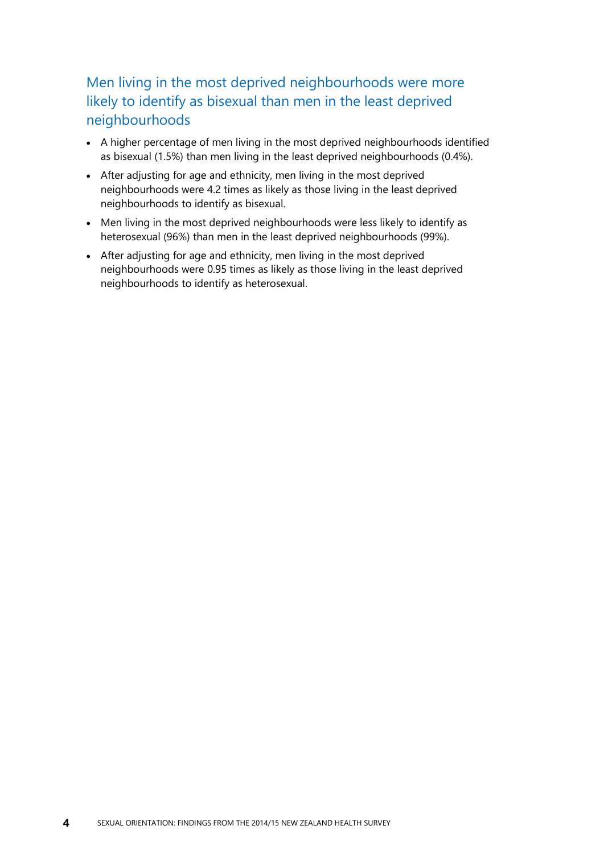#### Men living in the most deprived neighbourhoods were more likely to identify as bisexual than men in the least deprived neighbourhoods

- A higher percentage of men living in the most deprived neighbourhoods identified as bisexual (1.5%) than men living in the least deprived neighbourhoods (0.4%).
- After adjusting for age and ethnicity, men living in the most deprived neighbourhoods were 4.2 times as likely as those living in the least deprived neighbourhoods to identify as bisexual.
- Men living in the most deprived neighbourhoods were less likely to identify as heterosexual (96%) than men in the least deprived neighbourhoods (99%).
- After adjusting for age and ethnicity, men living in the most deprived neighbourhoods were 0.95 times as likely as those living in the least deprived neighbourhoods to identify as heterosexual.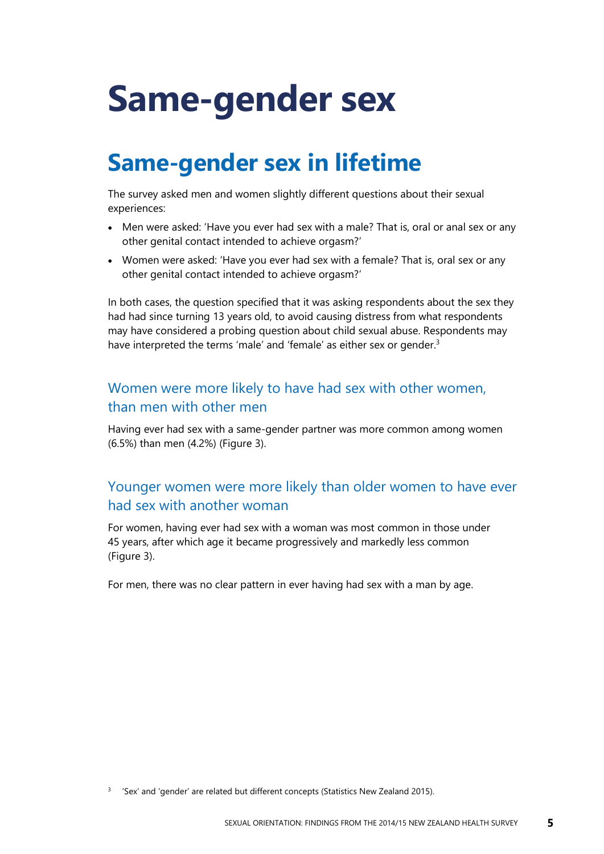# <span id="page-10-0"></span>**Same-gender sex**

## <span id="page-10-1"></span>**Same-gender sex in lifetime**

The survey asked men and women slightly different questions about their sexual experiences:

- Men were asked: 'Have you ever had sex with a male? That is, oral or anal sex or any other genital contact intended to achieve orgasm?'
- Women were asked: 'Have you ever had sex with a female? That is, oral sex or any other genital contact intended to achieve orgasm?'

In both cases, the question specified that it was asking respondents about the sex they had had since turning 13 years old, to avoid causing distress from what respondents may have considered a probing question about child sexual abuse. Respondents may have interpreted the terms 'male' and 'female' as either sex or gender.<sup>3</sup>

#### Women were more likely to have had sex with other women, than men with other men

Having ever had sex with a same-gender partner was more common among women (6.5%) than men (4.2%) (Figure 3).

#### Younger women were more likely than older women to have ever had sex with another woman

For women, having ever had sex with a woman was most common in those under 45 years, after which age it became progressively and markedly less common (Figure 3).

For men, there was no clear pattern in ever having had sex with a man by age.

 $3$  'Sex' and 'gender' are related but different concepts (Statistics New Zealand 2015).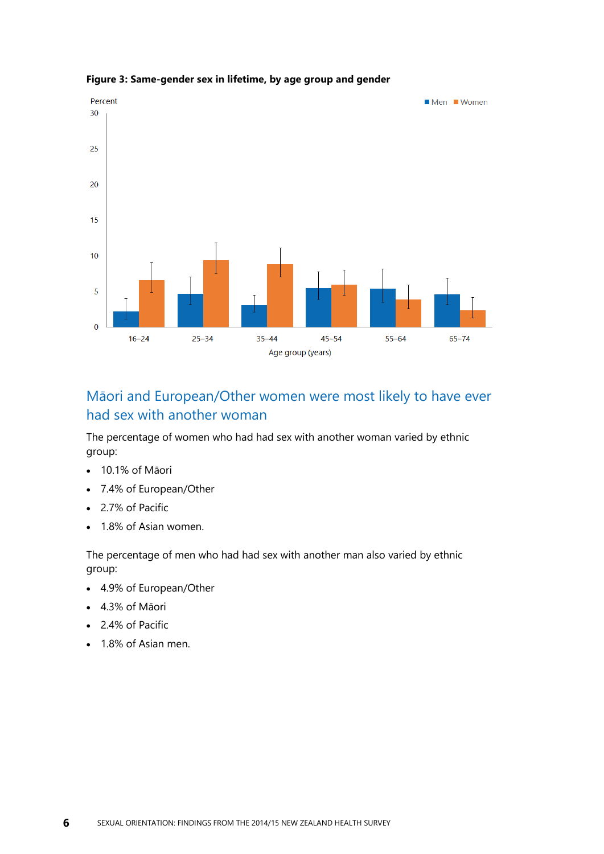

#### <span id="page-11-0"></span>**Figure 3: Same-gender sex in lifetime, by age group and gender**

#### Māori and European/Other women were most likely to have ever had sex with another woman

The percentage of women who had had sex with another woman varied by ethnic group:

- 10.1% of Māori
- 7.4% of European/Other
- 2.7% of Pacific
- 1.8% of Asian women.

The percentage of men who had had sex with another man also varied by ethnic group:

- 4.9% of European/Other
- 4.3% of Māori
- 2.4% of Pacific
- 1.8% of Asian men.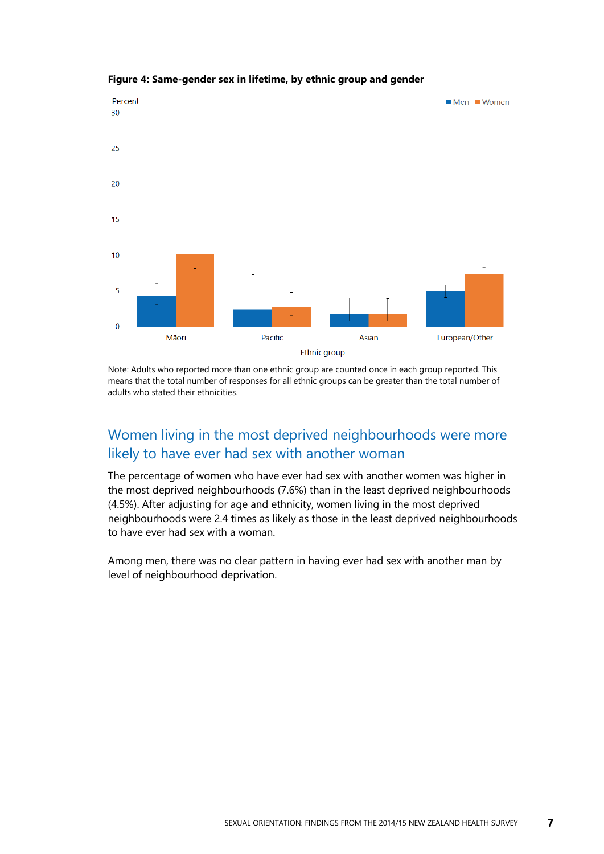

<span id="page-12-0"></span>**Figure 4: Same-gender sex in lifetime, by ethnic group and gender**

Note: Adults who reported more than one ethnic group are counted once in each group reported. This means that the total number of responses for all ethnic groups can be greater than the total number of adults who stated their ethnicities.

#### Women living in the most deprived neighbourhoods were more likely to have ever had sex with another woman

The percentage of women who have ever had sex with another women was higher in the most deprived neighbourhoods (7.6%) than in the least deprived neighbourhoods (4.5%). After adjusting for age and ethnicity, women living in the most deprived neighbourhoods were 2.4 times as likely as those in the least deprived neighbourhoods to have ever had sex with a woman.

Among men, there was no clear pattern in having ever had sex with another man by level of neighbourhood deprivation.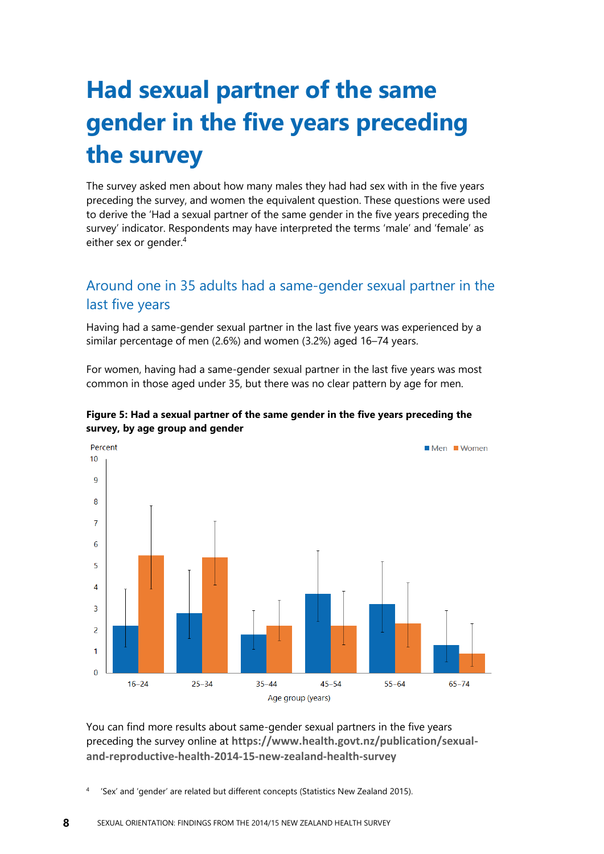# <span id="page-13-0"></span>**Had sexual partner of the same gender in the five years preceding the survey**

The survey asked men about how many males they had had sex with in the five years preceding the survey, and women the equivalent question. These questions were used to derive the 'Had a sexual partner of the same gender in the five years preceding the survey' indicator. Respondents may have interpreted the terms 'male' and 'female' as either sex or gender.<sup>4</sup>

#### Around one in 35 adults had a same-gender sexual partner in the last five years

Having had a same-gender sexual partner in the last five years was experienced by a similar percentage of men (2.6%) and women (3.2%) aged 16–74 years.

For women, having had a same-gender sexual partner in the last five years was most common in those aged under 35, but there was no clear pattern by age for men.



<span id="page-13-1"></span>

You can find more results about same-gender sexual partners in the five years preceding the survey online at **https://www.health.govt.nz/publication/sexualand-reproductive-health-2014-15-new-zealand-health-survey**

4 'Sex' and 'gender' are related but different concepts (Statistics New Zealand 2015).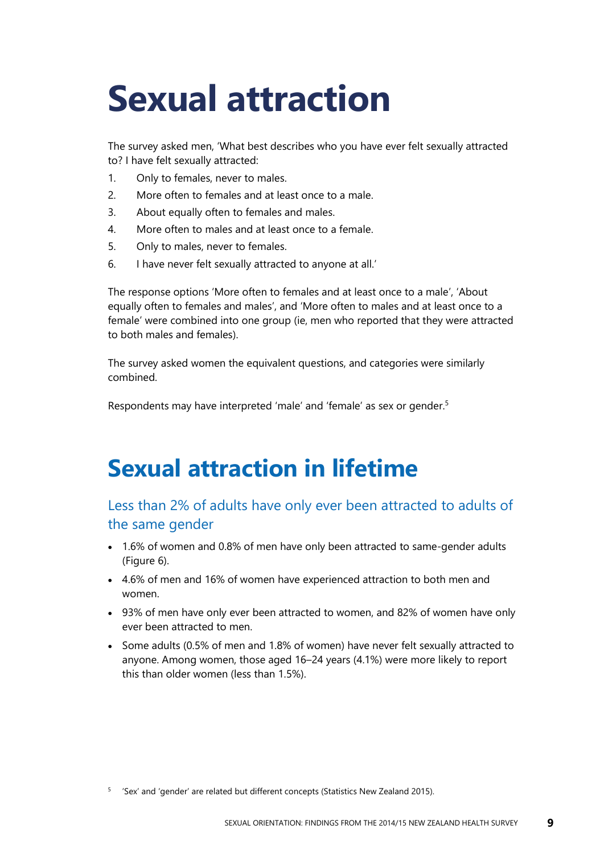# <span id="page-14-0"></span>**Sexual attraction**

The survey asked men, 'What best describes who you have ever felt sexually attracted to? I have felt sexually attracted:

- 1. Only to females, never to males.
- 2. More often to females and at least once to a male.
- 3. About equally often to females and males.
- 4. More often to males and at least once to a female.
- 5. Only to males, never to females.
- 6. I have never felt sexually attracted to anyone at all.'

The response options 'More often to females and at least once to a male', 'About equally often to females and males', and 'More often to males and at least once to a female' were combined into one group (ie, men who reported that they were attracted to both males and females).

The survey asked women the equivalent questions, and categories were similarly combined.

Respondents may have interpreted 'male' and 'female' as sex or gender.<sup>5</sup>

## <span id="page-14-1"></span>**Sexual attraction in lifetime**

#### Less than 2% of adults have only ever been attracted to adults of the same gender

- 1.6% of women and 0.8% of men have only been attracted to same-gender adults (Figure 6).
- 4.6% of men and 16% of women have experienced attraction to both men and women.
- 93% of men have only ever been attracted to women, and 82% of women have only ever been attracted to men.
- Some adults (0.5% of men and 1.8% of women) have never felt sexually attracted to anyone. Among women, those aged 16–24 years (4.1%) were more likely to report this than older women (less than 1.5%).

<sup>&</sup>lt;sup>5</sup> 'Sex' and 'gender' are related but different concepts (Statistics New Zealand 2015).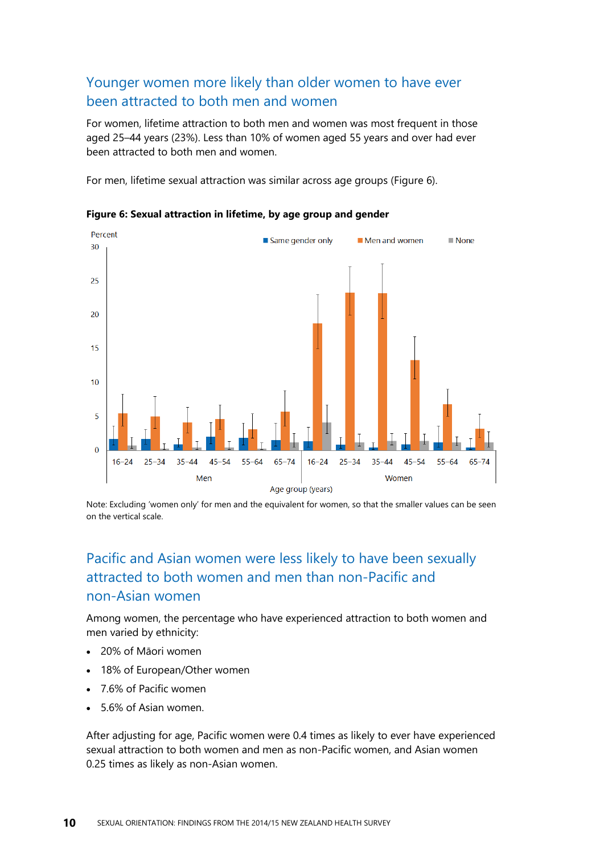#### Younger women more likely than older women to have ever been attracted to both men and women

For women, lifetime attraction to both men and women was most frequent in those aged 25–44 years (23%). Less than 10% of women aged 55 years and over had ever been attracted to both men and women.

For men, lifetime sexual attraction was similar across age groups (Figure 6).



<span id="page-15-0"></span>**Figure 6: Sexual attraction in lifetime, by age group and gender**

Note: Excluding 'women only' for men and the equivalent for women, so that the smaller values can be seen on the vertical scale.

#### Pacific and Asian women were less likely to have been sexually attracted to both women and men than non-Pacific and non-Asian women

Among women, the percentage who have experienced attraction to both women and men varied by ethnicity:

- 20% of Māori women
- 18% of European/Other women
- 7.6% of Pacific women
- 5.6% of Asian women.

After adjusting for age, Pacific women were 0.4 times as likely to ever have experienced sexual attraction to both women and men as non-Pacific women, and Asian women 0.25 times as likely as non-Asian women.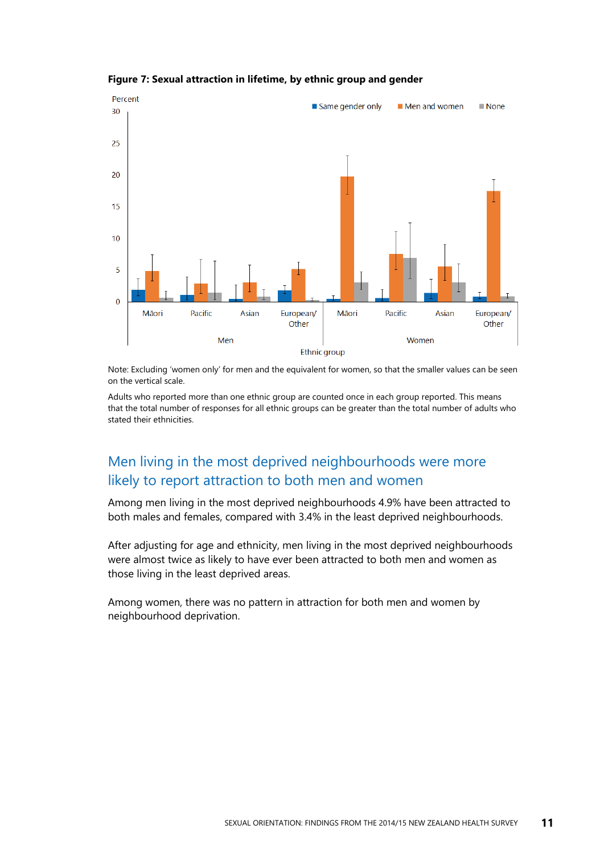

#### <span id="page-16-0"></span>**Figure 7: Sexual attraction in lifetime, by ethnic group and gender**

Note: Excluding 'women only' for men and the equivalent for women, so that the smaller values can be seen on the vertical scale.

Adults who reported more than one ethnic group are counted once in each group reported. This means that the total number of responses for all ethnic groups can be greater than the total number of adults who stated their ethnicities.

#### Men living in the most deprived neighbourhoods were more likely to report attraction to both men and women

Among men living in the most deprived neighbourhoods 4.9% have been attracted to both males and females, compared with 3.4% in the least deprived neighbourhoods.

After adjusting for age and ethnicity, men living in the most deprived neighbourhoods were almost twice as likely to have ever been attracted to both men and women as those living in the least deprived areas.

Among women, there was no pattern in attraction for both men and women by neighbourhood deprivation.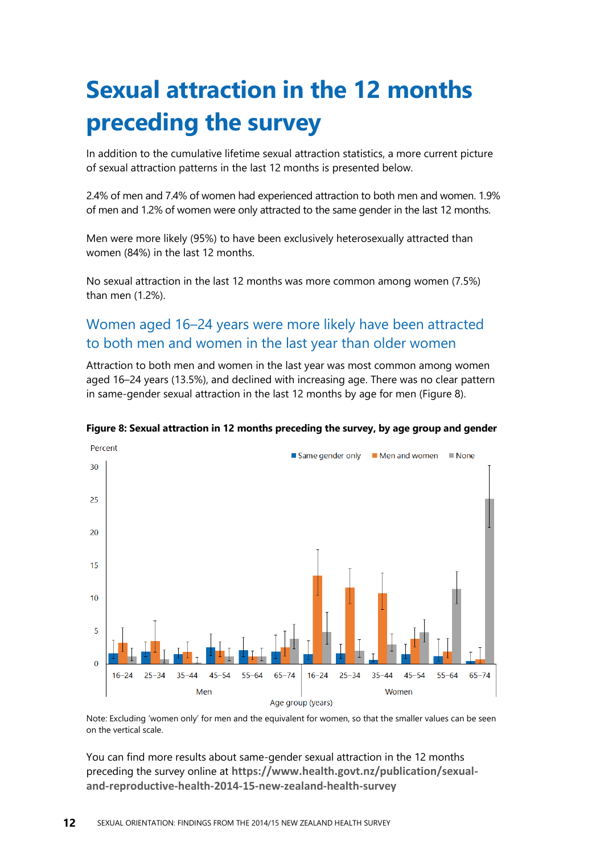# <span id="page-17-0"></span>**Sexual attraction in the 12 months preceding the survey**

In addition to the cumulative lifetime sexual attraction statistics, a more current picture of sexual attraction patterns in the last 12 months is presented below.

2.4% of men and 7.4% of women had experienced attraction to both men and women. 1.9% of men and 1.2% of women were only attracted to the same gender in the last 12 months.

Men were more likely (95%) to have been exclusively heterosexually attracted than women (84%) in the last 12 months.

No sexual attraction in the last 12 months was more common among women (7.5%) than men (1.2%).

#### Women aged 16–24 years were more likely have been attracted to both men and women in the last year than older women

Attraction to both men and women in the last year was most common among women aged 16–24 years (13.5%), and declined with increasing age. There was no clear pattern in same-gender sexual attraction in the last 12 months by age for men (Figure 8).



#### <span id="page-17-1"></span>**Figure 8: Sexual attraction in 12 months preceding the survey, by age group and gender**

Note: Excluding 'women only' for men and the equivalent for women, so that the smaller values can be seen on the vertical scale.

You can find more results about same-gender sexual attraction in the 12 months preceding the survey online at **https://www.health.govt.nz/publication/sexualand-reproductive-health-2014-15-new-zealand-health-survey**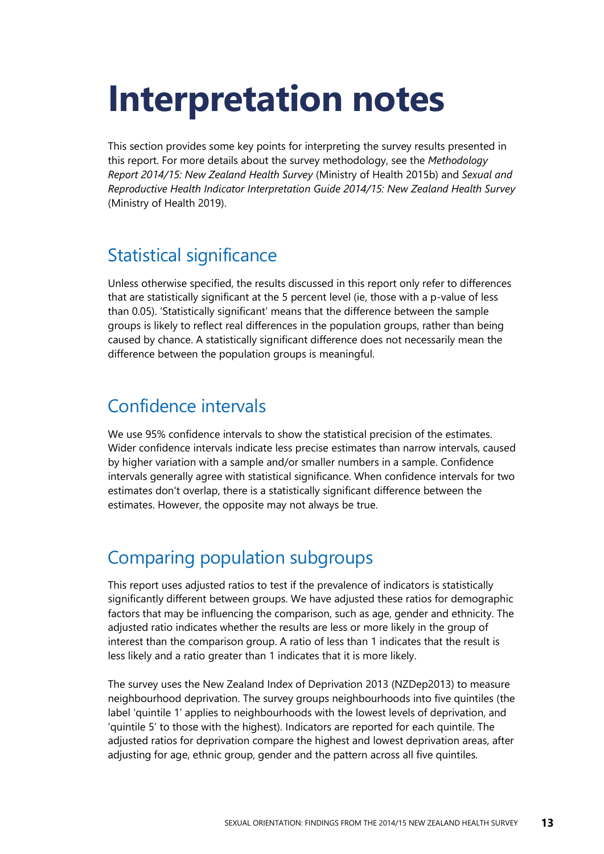# <span id="page-18-0"></span>**Interpretation notes**

This section provides some key points for interpreting the survey results presented in this report. For more details about the survey methodology, see the *Methodology Report 2014/15: New Zealand Health Survey* (Ministry of Health 2015b) and *Sexual and Reproductive Health Indicator Interpretation Guide 2014/15: New Zealand Health Survey*  (Ministry of Health 2019).

### Statistical significance

Unless otherwise specified, the results discussed in this report only refer to differences that are statistically significant at the 5 percent level (ie, those with a p-value of less than 0.05). 'Statistically significant' means that the difference between the sample groups is likely to reflect real differences in the population groups, rather than being caused by chance. A statistically significant difference does not necessarily mean the difference between the population groups is meaningful.

### Confidence intervals

We use 95% confidence intervals to show the statistical precision of the estimates. Wider confidence intervals indicate less precise estimates than narrow intervals, caused by higher variation with a sample and/or smaller numbers in a sample. Confidence intervals generally agree with statistical significance. When confidence intervals for two estimates don't overlap, there is a statistically significant difference between the estimates. However, the opposite may not always be true.

### Comparing population subgroups

This report uses adjusted ratios to test if the prevalence of indicators is statistically significantly different between groups. We have adjusted these ratios for demographic factors that may be influencing the comparison, such as age, gender and ethnicity. The adjusted ratio indicates whether the results are less or more likely in the group of interest than the comparison group. A ratio of less than 1 indicates that the result is less likely and a ratio greater than 1 indicates that it is more likely.

The survey uses the New Zealand Index of Deprivation 2013 (NZDep2013) to measure neighbourhood deprivation. The survey groups neighbourhoods into five quintiles (the label 'quintile 1' applies to neighbourhoods with the lowest levels of deprivation, and 'quintile 5' to those with the highest). Indicators are reported for each quintile. The adjusted ratios for deprivation compare the highest and lowest deprivation areas, after adjusting for age, ethnic group, gender and the pattern across all five quintiles.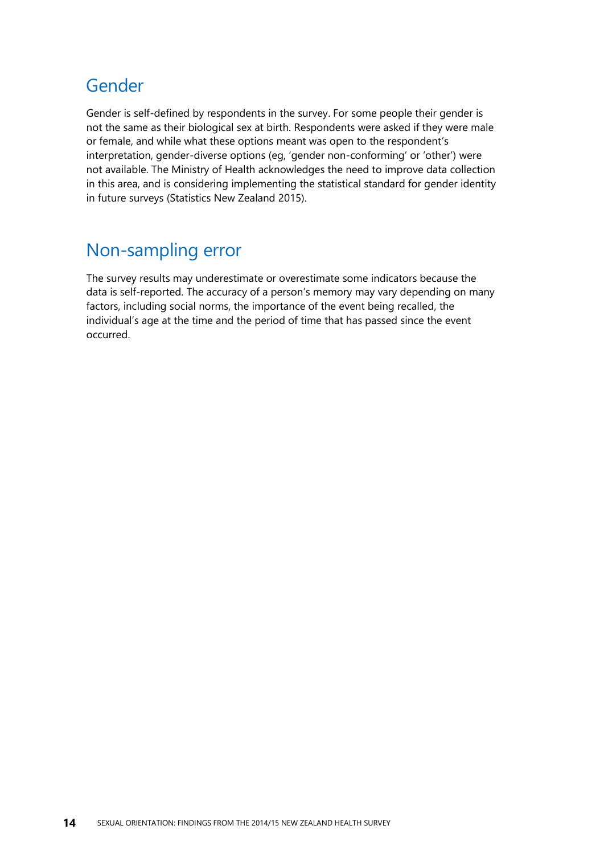### Gender

Gender is self-defined by respondents in the survey. For some people their gender is not the same as their biological sex at birth. Respondents were asked if they were male or female, and while what these options meant was open to the respondent's interpretation, gender-diverse options (eg, 'gender non-conforming' or 'other') were not available. The Ministry of Health acknowledges the need to improve data collection in this area, and is considering implementing the statistical standard for gender identity in future surveys (Statistics New Zealand 2015).

### Non-sampling error

The survey results may underestimate or overestimate some indicators because the data is self-reported. The accuracy of a person's memory may vary depending on many factors, including social norms, the importance of the event being recalled, the individual's age at the time and the period of time that has passed since the event occurred.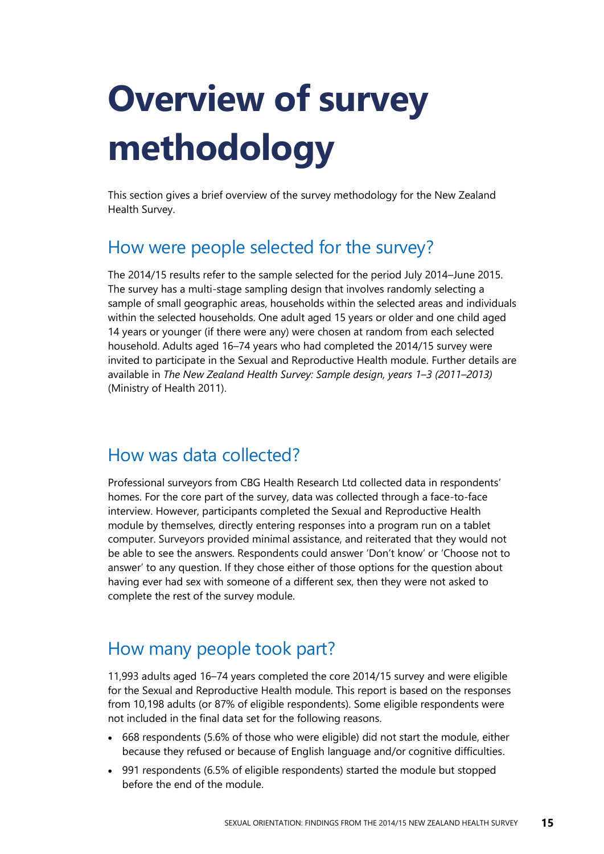# <span id="page-20-0"></span>**Overview of survey methodology**

This section gives a brief overview of the survey methodology for the New Zealand Health Survey.

### How were people selected for the survey?

The 2014/15 results refer to the sample selected for the period July 2014–June 2015. The survey has a multi-stage sampling design that involves randomly selecting a sample of small geographic areas, households within the selected areas and individuals within the selected households. One adult aged 15 years or older and one child aged 14 years or younger (if there were any) were chosen at random from each selected household. Adults aged 16–74 years who had completed the 2014/15 survey were invited to participate in the Sexual and Reproductive Health module. Further details are available in *The New Zealand Health Survey: Sample design, years 1–3 (2011–2013)* (Ministry of Health 2011).

### How was data collected?

Professional surveyors from CBG Health Research Ltd collected data in respondents' homes. For the core part of the survey, data was collected through a face-to-face interview. However, participants completed the Sexual and Reproductive Health module by themselves, directly entering responses into a program run on a tablet computer. Surveyors provided minimal assistance, and reiterated that they would not be able to see the answers. Respondents could answer 'Don't know' or 'Choose not to answer' to any question. If they chose either of those options for the question about having ever had sex with someone of a different sex, then they were not asked to complete the rest of the survey module.

### How many people took part?

11,993 adults aged 16–74 years completed the core 2014/15 survey and were eligible for the Sexual and Reproductive Health module. This report is based on the responses from 10,198 adults (or 87% of eligible respondents). Some eligible respondents were not included in the final data set for the following reasons.

- 668 respondents (5.6% of those who were eligible) did not start the module, either because they refused or because of English language and/or cognitive difficulties.
- 991 respondents (6.5% of eligible respondents) started the module but stopped before the end of the module.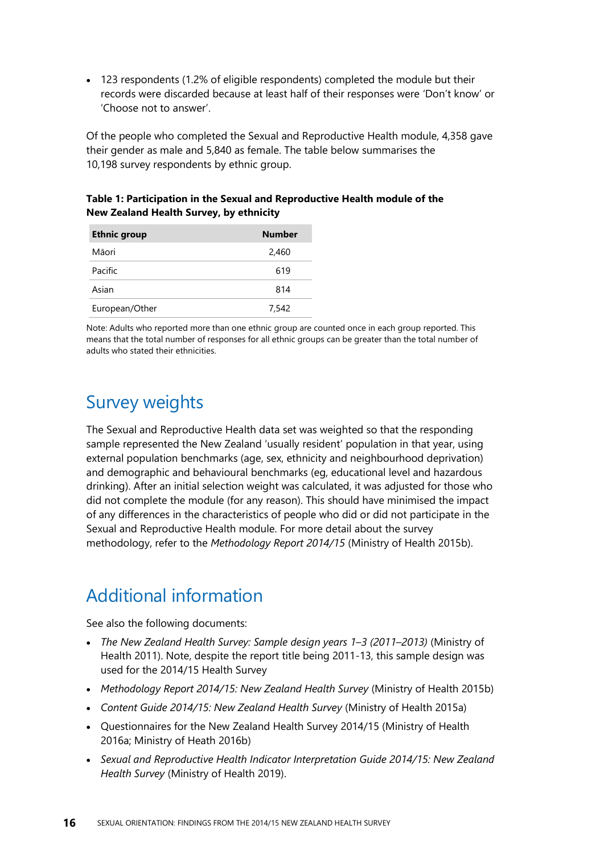• 123 respondents (1.2% of eligible respondents) completed the module but their records were discarded because at least half of their responses were 'Don't know' or 'Choose not to answer'.

Of the people who completed the Sexual and Reproductive Health module, 4,358 gave their gender as male and 5,840 as female. The table below summarises the 10,198 survey respondents by ethnic group.

#### <span id="page-21-0"></span>**Table 1: Participation in the Sexual and Reproductive Health module of the New Zealand Health Survey, by ethnicity**

| <b>Ethnic group</b> | <b>Number</b> |
|---------------------|---------------|
| Māori               | 2,460         |
| Pacific             | 619           |
| Asian               | 814           |
| European/Other      | 7.542         |

Note: Adults who reported more than one ethnic group are counted once in each group reported. This means that the total number of responses for all ethnic groups can be greater than the total number of adults who stated their ethnicities.

### Survey weights

The Sexual and Reproductive Health data set was weighted so that the responding sample represented the New Zealand 'usually resident' population in that year, using external population benchmarks (age, sex, ethnicity and neighbourhood deprivation) and demographic and behavioural benchmarks (eg, educational level and hazardous drinking). After an initial selection weight was calculated, it was adjusted for those who did not complete the module (for any reason). This should have minimised the impact of any differences in the characteristics of people who did or did not participate in the Sexual and Reproductive Health module. For more detail about the survey methodology, refer to the *Methodology Report 2014/15* (Ministry of Health 2015b).

## Additional information

See also the following documents:

- *The New Zealand Health Survey: Sample design years 1–3 (2011–2013)* (Ministry of Health 2011). Note, despite the report title being 2011-13, this sample design was used for the 2014/15 Health Survey
- *Methodology Report 2014/15: New Zealand Health Survey* (Ministry of Health 2015b)
- *Content Guide 2014/15: New Zealand Health Survey* (Ministry of Health 2015a)
- Questionnaires for the New Zealand Health Survey 2014/15 (Ministry of Health 2016a; Ministry of Heath 2016b)
- *Sexual and Reproductive Health Indicator Interpretation Guide 2014/15: New Zealand Health Survey* (Ministry of Health 2019).